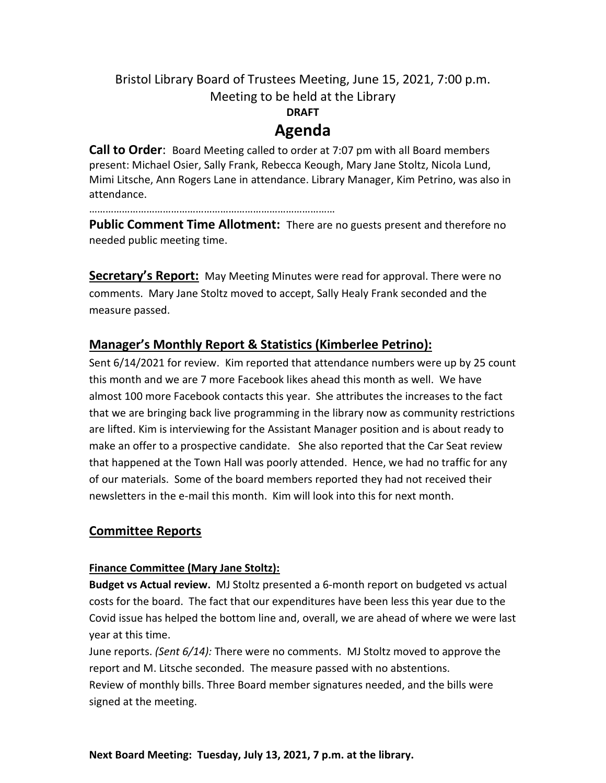# Bristol Library Board of Trustees Meeting, June 15, 2021, 7:00 p.m. Meeting to be held at the Library **DRAFT Agenda**

**Call to Order**: Board Meeting called to order at 7:07 pm with all Board members present: Michael Osier, Sally Frank, Rebecca Keough, Mary Jane Stoltz, Nicola Lund, Mimi Litsche, Ann Rogers Lane in attendance. Library Manager, Kim Petrino, was also in attendance.

………………………………………………………………………………

**Public Comment Time Allotment:** There are no guests present and therefore no needed public meeting time.

**Secretary's Report:** May Meeting Minutes were read for approval. There were no comments. Mary Jane Stoltz moved to accept, Sally Healy Frank seconded and the measure passed.

# **Manager's Monthly Report & Statistics (Kimberlee Petrino):**

Sent 6/14/2021 for review. Kim reported that attendance numbers were up by 25 count this month and we are 7 more Facebook likes ahead this month as well. We have almost 100 more Facebook contacts this year. She attributes the increases to the fact that we are bringing back live programming in the library now as community restrictions are lifted. Kim is interviewing for the Assistant Manager position and is about ready to make an offer to a prospective candidate. She also reported that the Car Seat review that happened at the Town Hall was poorly attended. Hence, we had no traffic for any of our materials. Some of the board members reported they had not received their newsletters in the e-mail this month. Kim will look into this for next month.

## **Committee Reports**

## **Finance Committee (Mary Jane Stoltz):**

**Budget vs Actual review.** MJ Stoltz presented a 6-month report on budgeted vs actual costs for the board. The fact that our expenditures have been less this year due to the Covid issue has helped the bottom line and, overall, we are ahead of where we were last year at this time.

June reports. *(Sent 6/14):* There were no comments. MJ Stoltz moved to approve the report and M. Litsche seconded. The measure passed with no abstentions. Review of monthly bills. Three Board member signatures needed, and the bills were signed at the meeting.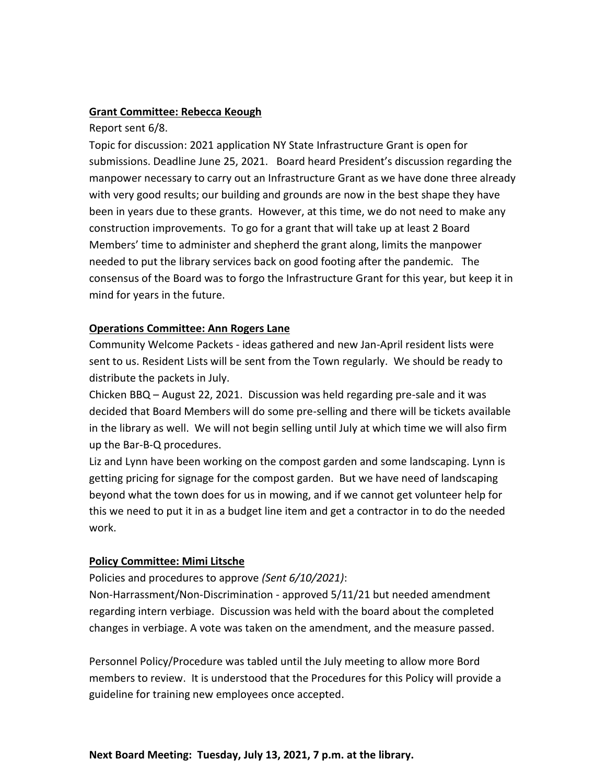#### **Grant Committee: Rebecca Keough**

Report sent 6/8.

Topic for discussion: 2021 application NY State Infrastructure Grant is open for submissions. Deadline June 25, 2021. Board heard President's discussion regarding the manpower necessary to carry out an Infrastructure Grant as we have done three already with very good results; our building and grounds are now in the best shape they have been in years due to these grants. However, at this time, we do not need to make any construction improvements. To go for a grant that will take up at least 2 Board Members' time to administer and shepherd the grant along, limits the manpower needed to put the library services back on good footing after the pandemic. The consensus of the Board was to forgo the Infrastructure Grant for this year, but keep it in mind for years in the future.

#### **Operations Committee: Ann Rogers Lane**

Community Welcome Packets - ideas gathered and new Jan-April resident lists were sent to us. Resident Lists will be sent from the Town regularly. We should be ready to distribute the packets in July.

Chicken BBQ – August 22, 2021. Discussion was held regarding pre-sale and it was decided that Board Members will do some pre-selling and there will be tickets available in the library as well. We will not begin selling until July at which time we will also firm up the Bar-B-Q procedures.

Liz and Lynn have been working on the compost garden and some landscaping. Lynn is getting pricing for signage for the compost garden. But we have need of landscaping beyond what the town does for us in mowing, and if we cannot get volunteer help for this we need to put it in as a budget line item and get a contractor in to do the needed work.

### **Policy Committee: Mimi Litsche**

Policies and procedures to approve *(Sent 6/10/2021)*:

Non-Harrassment/Non-Discrimination - approved 5/11/21 but needed amendment regarding intern verbiage. Discussion was held with the board about the completed changes in verbiage. A vote was taken on the amendment, and the measure passed.

Personnel Policy/Procedure was tabled until the July meeting to allow more Bord members to review. It is understood that the Procedures for this Policy will provide a guideline for training new employees once accepted.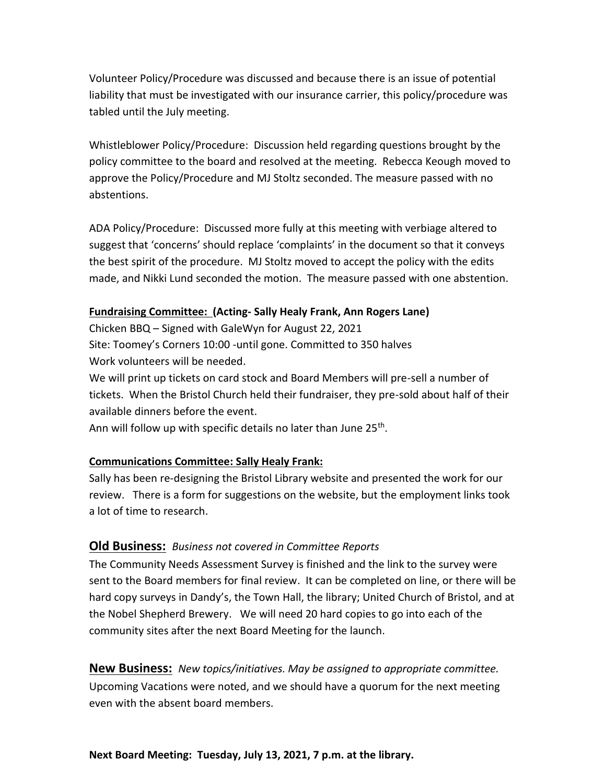Volunteer Policy/Procedure was discussed and because there is an issue of potential liability that must be investigated with our insurance carrier, this policy/procedure was tabled until the July meeting.

Whistleblower Policy/Procedure: Discussion held regarding questions brought by the policy committee to the board and resolved at the meeting. Rebecca Keough moved to approve the Policy/Procedure and MJ Stoltz seconded. The measure passed with no abstentions.

ADA Policy/Procedure: Discussed more fully at this meeting with verbiage altered to suggest that 'concerns' should replace 'complaints' in the document so that it conveys the best spirit of the procedure. MJ Stoltz moved to accept the policy with the edits made, and Nikki Lund seconded the motion. The measure passed with one abstention.

### **Fundraising Committee: (Acting- Sally Healy Frank, Ann Rogers Lane)**

Chicken BBQ – Signed with GaleWyn for August 22, 2021 Site: Toomey's Corners 10:00 -until gone. Committed to 350 halves Work volunteers will be needed.

We will print up tickets on card stock and Board Members will pre-sell a number of tickets. When the Bristol Church held their fundraiser, they pre-sold about half of their available dinners before the event.

Ann will follow up with specific details no later than June 25<sup>th</sup>.

### **Communications Committee: Sally Healy Frank:**

Sally has been re-designing the Bristol Library website and presented the work for our review. There is a form for suggestions on the website, but the employment links took a lot of time to research.

## **Old Business:** *Business not covered in Committee Reports*

The Community Needs Assessment Survey is finished and the link to the survey were sent to the Board members for final review. It can be completed on line, or there will be hard copy surveys in Dandy's, the Town Hall, the library; United Church of Bristol, and at the Nobel Shepherd Brewery. We will need 20 hard copies to go into each of the community sites after the next Board Meeting for the launch.

**New Business:** *New topics/initiatives. May be assigned to appropriate committee.* Upcoming Vacations were noted, and we should have a quorum for the next meeting even with the absent board members.